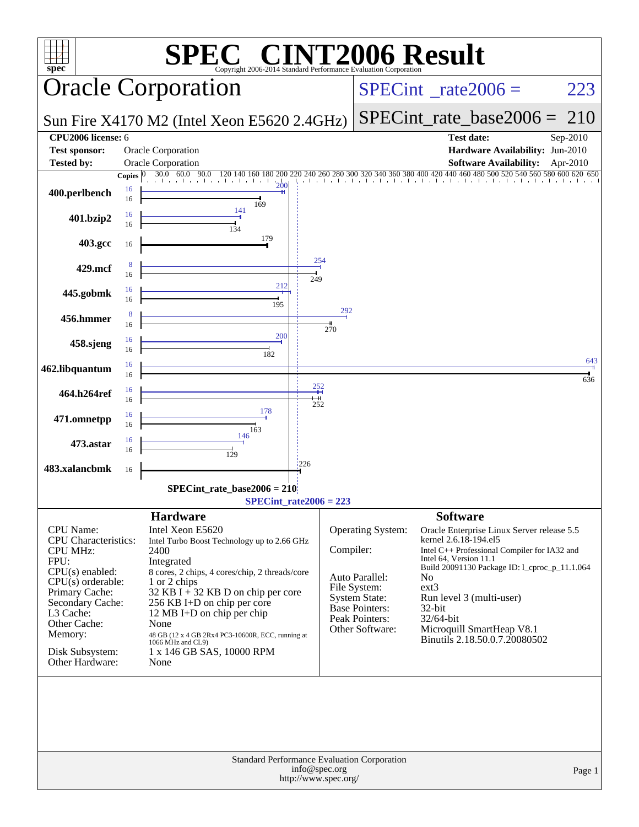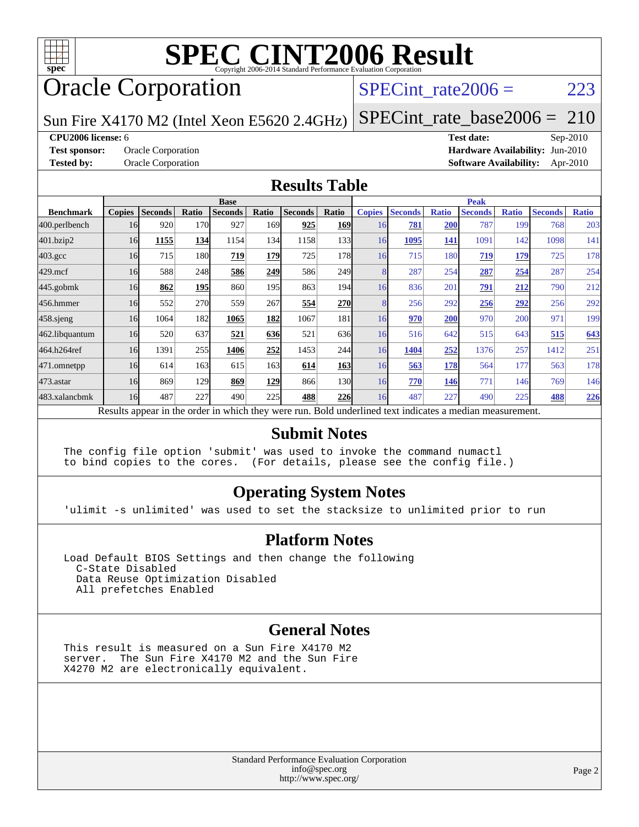

# **[SPEC CINT2006 Result](http://www.spec.org/auto/cpu2006/Docs/result-fields.html#SPECCINT2006Result)**

# **Oracle Corporation**

### SPECint rate $2006 = 223$

Sun Fire X4170 M2 (Intel Xeon E5620 2.4GHz)

[SPECint\\_rate\\_base2006 =](http://www.spec.org/auto/cpu2006/Docs/result-fields.html#SPECintratebase2006) 210

### **[CPU2006 license:](http://www.spec.org/auto/cpu2006/Docs/result-fields.html#CPU2006license)** 6 **[Test date:](http://www.spec.org/auto/cpu2006/Docs/result-fields.html#Testdate)** Sep-2010

**[Test sponsor:](http://www.spec.org/auto/cpu2006/Docs/result-fields.html#Testsponsor)** Oracle Corporation **[Hardware Availability:](http://www.spec.org/auto/cpu2006/Docs/result-fields.html#HardwareAvailability)** Jun-2010 **[Tested by:](http://www.spec.org/auto/cpu2006/Docs/result-fields.html#Testedby)** Oracle Corporation **[Software Availability:](http://www.spec.org/auto/cpu2006/Docs/result-fields.html#SoftwareAvailability)** Apr-2010

### **[Results Table](http://www.spec.org/auto/cpu2006/Docs/result-fields.html#ResultsTable)**

|                    | <b>Base</b>   |                |       |                                                                                                          |       |                |            | <b>Peak</b>   |                |              |                |              |                |              |
|--------------------|---------------|----------------|-------|----------------------------------------------------------------------------------------------------------|-------|----------------|------------|---------------|----------------|--------------|----------------|--------------|----------------|--------------|
| <b>Benchmark</b>   | <b>Copies</b> | <b>Seconds</b> | Ratio | <b>Seconds</b>                                                                                           | Ratio | <b>Seconds</b> | Ratio      | <b>Copies</b> | <b>Seconds</b> | <b>Ratio</b> | <b>Seconds</b> | <b>Ratio</b> | <b>Seconds</b> | <b>Ratio</b> |
| 400.perlbench      | 16            | 920            | 170   | 927                                                                                                      | 169I  | 925            | <b>169</b> | 16            | 781            | 200          | 787            | 199          | 768            | 203          |
| 401.bzip2          | 16            | 1155           | 134   | 1154                                                                                                     | 134   | 1158           | 133        | 16            | 1095           | 141          | 1091           | 142          | 1098           | 141          |
| $403.\mathrm{gcc}$ | 16            | 715            | 180   | 719                                                                                                      | 179   | 725            | 178        | 16            | 715            | 180          | 719            | 179          | 725            | 178          |
| $429$ .mcf         | 16            | 588            | 248   | 586                                                                                                      | 249   | 586            | 249        | 8             | 287            | 254          | 287            | 254          | 287            | 254          |
| $445$ .gobmk       | 16            | 862            | 195   | 860                                                                                                      | 195   | 863            | 194        | 16            | 836            | 201          | 791            | 212          | 790            | 212          |
| 456.hmmer          | 16            | 552            | 270   | 559                                                                                                      | 267   | 554            | <b>270</b> | 8             | 256            | 292          | 256            | 292          | 256            | 292          |
| $458$ .sjeng       | 16            | 1064           | 182   | 1065                                                                                                     | 182   | 1067           | 181        | 16            | 970            | 200          | 970            | 200          | 971            | 199          |
| 462.libquantum     | 16            | 520            | 637   | 521                                                                                                      | 636   | 521            | 636        | 16            | 516            | 642          | 515            | 643          | 515            | 643          |
| 464.h264ref        | 16            | 1391           | 255   | 1406                                                                                                     | 252   | 1453           | 244        | 16            | 1404           | 252          | 1376           | 257          | 1412           | 251          |
| 471.omnetpp        | 16            | 614            | 163   | 615                                                                                                      | 163   | 614            | <b>163</b> | 16            | 563            | 178          | 564            | 177          | 563            | 178          |
| 473.astar          | 16            | 869            | 129   | 869                                                                                                      | 129   | 866            | 130        | 16            | 770            | 146          | 771            | 146          | 769            | 146          |
| 483.xalancbmk      | 16            | 487            | 227   | 490                                                                                                      | 225   | 488            | <b>226</b> | 16            | 487            | 227          | 490            | 225          | 488            | 226          |
|                    |               |                |       | Results appear in the order in which they were run. Bold underlined text indicates a median measurement. |       |                |            |               |                |              |                |              |                |              |

### **[Submit Notes](http://www.spec.org/auto/cpu2006/Docs/result-fields.html#SubmitNotes)**

The config file option 'submit' was used to invoke the command numactl to bind copies to the cores. (For details, please see the config file.)

### **[Operating System Notes](http://www.spec.org/auto/cpu2006/Docs/result-fields.html#OperatingSystemNotes)**

'ulimit -s unlimited' was used to set the stacksize to unlimited prior to run

### **[Platform Notes](http://www.spec.org/auto/cpu2006/Docs/result-fields.html#PlatformNotes)**

Load Default BIOS Settings and then change the following C-State Disabled Data Reuse Optimization Disabled All prefetches Enabled

### **[General Notes](http://www.spec.org/auto/cpu2006/Docs/result-fields.html#GeneralNotes)**

This result is measured on a Sun Fire X4170 M2 server. The Sun Fire X4170 M2 and the Sun Fire X4270 M2 are electronically equivalent.

> Standard Performance Evaluation Corporation [info@spec.org](mailto:info@spec.org) <http://www.spec.org/>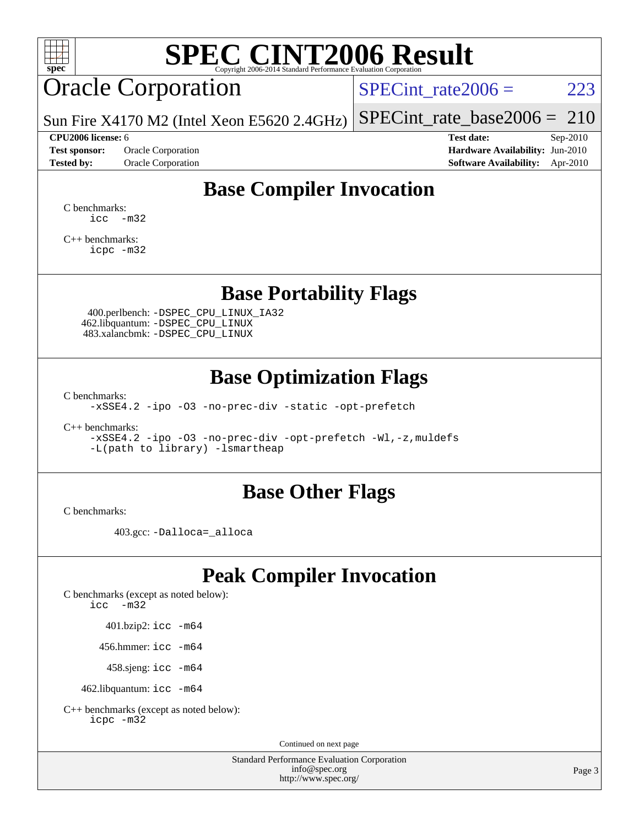

# **[SPEC CINT2006 Result](http://www.spec.org/auto/cpu2006/Docs/result-fields.html#SPECCINT2006Result)**

# Oracle Corporation

SPECint rate $2006 = 223$ 

Sun Fire X4170 M2 (Intel Xeon E5620 2.4GHz) [SPECint\\_rate\\_base2006 =](http://www.spec.org/auto/cpu2006/Docs/result-fields.html#SPECintratebase2006) 210

**[Test sponsor:](http://www.spec.org/auto/cpu2006/Docs/result-fields.html#Testsponsor)** Oracle Corporation **[Hardware Availability:](http://www.spec.org/auto/cpu2006/Docs/result-fields.html#HardwareAvailability)** Jun-2010 **[Tested by:](http://www.spec.org/auto/cpu2006/Docs/result-fields.html#Testedby)** Oracle Corporation **[Software Availability:](http://www.spec.org/auto/cpu2006/Docs/result-fields.html#SoftwareAvailability)** Apr-2010

**[CPU2006 license:](http://www.spec.org/auto/cpu2006/Docs/result-fields.html#CPU2006license)** 6 **[Test date:](http://www.spec.org/auto/cpu2006/Docs/result-fields.html#Testdate)** Sep-2010

## **[Base Compiler Invocation](http://www.spec.org/auto/cpu2006/Docs/result-fields.html#BaseCompilerInvocation)**

[C benchmarks](http://www.spec.org/auto/cpu2006/Docs/result-fields.html#Cbenchmarks):  $\text{icc}$   $-\text{m32}$ 

[C++ benchmarks:](http://www.spec.org/auto/cpu2006/Docs/result-fields.html#CXXbenchmarks) [icpc -m32](http://www.spec.org/cpu2006/results/res2010q3/cpu2006-20100913-13210.flags.html#user_CXXbase_intel_icpc_32bit_4e5a5ef1a53fd332b3c49e69c3330699)

### **[Base Portability Flags](http://www.spec.org/auto/cpu2006/Docs/result-fields.html#BasePortabilityFlags)**

 400.perlbench: [-DSPEC\\_CPU\\_LINUX\\_IA32](http://www.spec.org/cpu2006/results/res2010q3/cpu2006-20100913-13210.flags.html#b400.perlbench_baseCPORTABILITY_DSPEC_CPU_LINUX_IA32) 462.libquantum: [-DSPEC\\_CPU\\_LINUX](http://www.spec.org/cpu2006/results/res2010q3/cpu2006-20100913-13210.flags.html#b462.libquantum_baseCPORTABILITY_DSPEC_CPU_LINUX) 483.xalancbmk: [-DSPEC\\_CPU\\_LINUX](http://www.spec.org/cpu2006/results/res2010q3/cpu2006-20100913-13210.flags.html#b483.xalancbmk_baseCXXPORTABILITY_DSPEC_CPU_LINUX)

### **[Base Optimization Flags](http://www.spec.org/auto/cpu2006/Docs/result-fields.html#BaseOptimizationFlags)**

[C benchmarks](http://www.spec.org/auto/cpu2006/Docs/result-fields.html#Cbenchmarks):

[-xSSE4.2](http://www.spec.org/cpu2006/results/res2010q3/cpu2006-20100913-13210.flags.html#user_CCbase_f-xSSE42_f91528193cf0b216347adb8b939d4107) [-ipo](http://www.spec.org/cpu2006/results/res2010q3/cpu2006-20100913-13210.flags.html#user_CCbase_f-ipo) [-O3](http://www.spec.org/cpu2006/results/res2010q3/cpu2006-20100913-13210.flags.html#user_CCbase_f-O3) [-no-prec-div](http://www.spec.org/cpu2006/results/res2010q3/cpu2006-20100913-13210.flags.html#user_CCbase_f-no-prec-div) [-static](http://www.spec.org/cpu2006/results/res2010q3/cpu2006-20100913-13210.flags.html#user_CCbase_f-static) [-opt-prefetch](http://www.spec.org/cpu2006/results/res2010q3/cpu2006-20100913-13210.flags.html#user_CCbase_f-opt-prefetch)

[C++ benchmarks:](http://www.spec.org/auto/cpu2006/Docs/result-fields.html#CXXbenchmarks)

[-xSSE4.2](http://www.spec.org/cpu2006/results/res2010q3/cpu2006-20100913-13210.flags.html#user_CXXbase_f-xSSE42_f91528193cf0b216347adb8b939d4107) [-ipo](http://www.spec.org/cpu2006/results/res2010q3/cpu2006-20100913-13210.flags.html#user_CXXbase_f-ipo) [-O3](http://www.spec.org/cpu2006/results/res2010q3/cpu2006-20100913-13210.flags.html#user_CXXbase_f-O3) [-no-prec-div](http://www.spec.org/cpu2006/results/res2010q3/cpu2006-20100913-13210.flags.html#user_CXXbase_f-no-prec-div) [-opt-prefetch](http://www.spec.org/cpu2006/results/res2010q3/cpu2006-20100913-13210.flags.html#user_CXXbase_f-opt-prefetch) [-Wl,-z,muldefs](http://www.spec.org/cpu2006/results/res2010q3/cpu2006-20100913-13210.flags.html#user_CXXbase_link_force_multiple1_74079c344b956b9658436fd1b6dd3a8a) [-L\(path to library\) -lsmartheap](http://www.spec.org/cpu2006/results/res2010q3/cpu2006-20100913-13210.flags.html#user_CXXbase_SmartHeap_1e7070a24cf726481c96921ba207e865)

### **[Base Other Flags](http://www.spec.org/auto/cpu2006/Docs/result-fields.html#BaseOtherFlags)**

[C benchmarks](http://www.spec.org/auto/cpu2006/Docs/result-fields.html#Cbenchmarks):

403.gcc: [-Dalloca=\\_alloca](http://www.spec.org/cpu2006/results/res2010q3/cpu2006-20100913-13210.flags.html#b403.gcc_baseEXTRA_CFLAGS_Dalloca_be3056838c12de2578596ca5467af7f3)

### **[Peak Compiler Invocation](http://www.spec.org/auto/cpu2006/Docs/result-fields.html#PeakCompilerInvocation)**

[C benchmarks \(except as noted below\)](http://www.spec.org/auto/cpu2006/Docs/result-fields.html#Cbenchmarksexceptasnotedbelow): [icc -m32](http://www.spec.org/cpu2006/results/res2010q3/cpu2006-20100913-13210.flags.html#user_CCpeak_intel_icc_32bit_5ff4a39e364c98233615fdd38438c6f2)

401.bzip2: [icc -m64](http://www.spec.org/cpu2006/results/res2010q3/cpu2006-20100913-13210.flags.html#user_peakCCLD401_bzip2_intel_icc_64bit_bda6cc9af1fdbb0edc3795bac97ada53)

456.hmmer: [icc -m64](http://www.spec.org/cpu2006/results/res2010q3/cpu2006-20100913-13210.flags.html#user_peakCCLD456_hmmer_intel_icc_64bit_bda6cc9af1fdbb0edc3795bac97ada53)

458.sjeng: [icc -m64](http://www.spec.org/cpu2006/results/res2010q3/cpu2006-20100913-13210.flags.html#user_peakCCLD458_sjeng_intel_icc_64bit_bda6cc9af1fdbb0edc3795bac97ada53)

462.libquantum: [icc -m64](http://www.spec.org/cpu2006/results/res2010q3/cpu2006-20100913-13210.flags.html#user_peakCCLD462_libquantum_intel_icc_64bit_bda6cc9af1fdbb0edc3795bac97ada53)

[C++ benchmarks \(except as noted below\):](http://www.spec.org/auto/cpu2006/Docs/result-fields.html#CXXbenchmarksexceptasnotedbelow) [icpc -m32](http://www.spec.org/cpu2006/results/res2010q3/cpu2006-20100913-13210.flags.html#user_CXXpeak_intel_icpc_32bit_4e5a5ef1a53fd332b3c49e69c3330699)

Continued on next page

Standard Performance Evaluation Corporation [info@spec.org](mailto:info@spec.org) <http://www.spec.org/>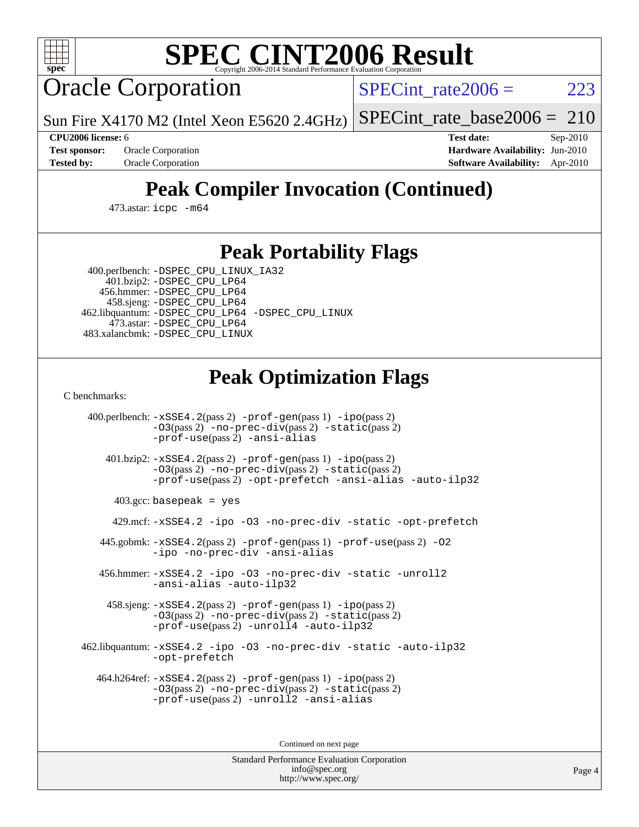

# **[SPEC CINT2006 Result](http://www.spec.org/auto/cpu2006/Docs/result-fields.html#SPECCINT2006Result)**

Oracle Corporation

SPECint rate $2006 = 223$ 

Sun Fire X4170 M2 (Intel Xeon E5620 2.4GHz) [SPECint\\_rate\\_base2006 =](http://www.spec.org/auto/cpu2006/Docs/result-fields.html#SPECintratebase2006)  $210$ 

**[CPU2006 license:](http://www.spec.org/auto/cpu2006/Docs/result-fields.html#CPU2006license)** 6 **[Test date:](http://www.spec.org/auto/cpu2006/Docs/result-fields.html#Testdate)** Sep-2010 **[Test sponsor:](http://www.spec.org/auto/cpu2006/Docs/result-fields.html#Testsponsor)** Oracle Corporation **[Hardware Availability:](http://www.spec.org/auto/cpu2006/Docs/result-fields.html#HardwareAvailability)** Jun-2010 **[Tested by:](http://www.spec.org/auto/cpu2006/Docs/result-fields.html#Testedby)** Oracle Corporation **[Software Availability:](http://www.spec.org/auto/cpu2006/Docs/result-fields.html#SoftwareAvailability)** Apr-2010

# **[Peak Compiler Invocation \(Continued\)](http://www.spec.org/auto/cpu2006/Docs/result-fields.html#PeakCompilerInvocation)**

473.astar: [icpc -m64](http://www.spec.org/cpu2006/results/res2010q3/cpu2006-20100913-13210.flags.html#user_peakCXXLD473_astar_intel_icpc_64bit_fc66a5337ce925472a5c54ad6a0de310)

## **[Peak Portability Flags](http://www.spec.org/auto/cpu2006/Docs/result-fields.html#PeakPortabilityFlags)**

 400.perlbench: [-DSPEC\\_CPU\\_LINUX\\_IA32](http://www.spec.org/cpu2006/results/res2010q3/cpu2006-20100913-13210.flags.html#b400.perlbench_peakCPORTABILITY_DSPEC_CPU_LINUX_IA32) 401.bzip2: [-DSPEC\\_CPU\\_LP64](http://www.spec.org/cpu2006/results/res2010q3/cpu2006-20100913-13210.flags.html#suite_peakCPORTABILITY401_bzip2_DSPEC_CPU_LP64)

 456.hmmer: [-DSPEC\\_CPU\\_LP64](http://www.spec.org/cpu2006/results/res2010q3/cpu2006-20100913-13210.flags.html#suite_peakCPORTABILITY456_hmmer_DSPEC_CPU_LP64) 458.sjeng: [-DSPEC\\_CPU\\_LP64](http://www.spec.org/cpu2006/results/res2010q3/cpu2006-20100913-13210.flags.html#suite_peakCPORTABILITY458_sjeng_DSPEC_CPU_LP64) 462.libquantum: [-DSPEC\\_CPU\\_LP64](http://www.spec.org/cpu2006/results/res2010q3/cpu2006-20100913-13210.flags.html#suite_peakCPORTABILITY462_libquantum_DSPEC_CPU_LP64) [-DSPEC\\_CPU\\_LINUX](http://www.spec.org/cpu2006/results/res2010q3/cpu2006-20100913-13210.flags.html#b462.libquantum_peakCPORTABILITY_DSPEC_CPU_LINUX) 473.astar: [-DSPEC\\_CPU\\_LP64](http://www.spec.org/cpu2006/results/res2010q3/cpu2006-20100913-13210.flags.html#suite_peakCXXPORTABILITY473_astar_DSPEC_CPU_LP64) 483.xalancbmk: [-DSPEC\\_CPU\\_LINUX](http://www.spec.org/cpu2006/results/res2010q3/cpu2006-20100913-13210.flags.html#b483.xalancbmk_peakCXXPORTABILITY_DSPEC_CPU_LINUX)

## **[Peak Optimization Flags](http://www.spec.org/auto/cpu2006/Docs/result-fields.html#PeakOptimizationFlags)**

[C benchmarks](http://www.spec.org/auto/cpu2006/Docs/result-fields.html#Cbenchmarks):

 400.perlbench: [-xSSE4.2](http://www.spec.org/cpu2006/results/res2010q3/cpu2006-20100913-13210.flags.html#user_peakPASS2_CFLAGSPASS2_LDCFLAGS400_perlbench_f-xSSE42_f91528193cf0b216347adb8b939d4107)(pass 2) [-prof-gen](http://www.spec.org/cpu2006/results/res2010q3/cpu2006-20100913-13210.flags.html#user_peakPASS1_CFLAGSPASS1_LDCFLAGS400_perlbench_prof_gen_e43856698f6ca7b7e442dfd80e94a8fc)(pass 1) [-ipo](http://www.spec.org/cpu2006/results/res2010q3/cpu2006-20100913-13210.flags.html#user_peakPASS2_CFLAGSPASS2_LDCFLAGS400_perlbench_f-ipo)(pass 2) [-O3](http://www.spec.org/cpu2006/results/res2010q3/cpu2006-20100913-13210.flags.html#user_peakPASS2_CFLAGSPASS2_LDCFLAGS400_perlbench_f-O3)(pass 2) [-no-prec-div](http://www.spec.org/cpu2006/results/res2010q3/cpu2006-20100913-13210.flags.html#user_peakPASS2_CFLAGSPASS2_LDCFLAGS400_perlbench_f-no-prec-div)(pass 2) [-static](http://www.spec.org/cpu2006/results/res2010q3/cpu2006-20100913-13210.flags.html#user_peakPASS2_CFLAGSPASS2_LDCFLAGS400_perlbench_f-static)(pass 2) [-prof-use](http://www.spec.org/cpu2006/results/res2010q3/cpu2006-20100913-13210.flags.html#user_peakPASS2_CFLAGSPASS2_LDCFLAGS400_perlbench_prof_use_bccf7792157ff70d64e32fe3e1250b55)(pass 2) [-ansi-alias](http://www.spec.org/cpu2006/results/res2010q3/cpu2006-20100913-13210.flags.html#user_peakCOPTIMIZE400_perlbench_f-ansi-alias)

 401.bzip2: [-xSSE4.2](http://www.spec.org/cpu2006/results/res2010q3/cpu2006-20100913-13210.flags.html#user_peakPASS2_CFLAGSPASS2_LDCFLAGS401_bzip2_f-xSSE42_f91528193cf0b216347adb8b939d4107)(pass 2) [-prof-gen](http://www.spec.org/cpu2006/results/res2010q3/cpu2006-20100913-13210.flags.html#user_peakPASS1_CFLAGSPASS1_LDCFLAGS401_bzip2_prof_gen_e43856698f6ca7b7e442dfd80e94a8fc)(pass 1) [-ipo](http://www.spec.org/cpu2006/results/res2010q3/cpu2006-20100913-13210.flags.html#user_peakPASS2_CFLAGSPASS2_LDCFLAGS401_bzip2_f-ipo)(pass 2) [-O3](http://www.spec.org/cpu2006/results/res2010q3/cpu2006-20100913-13210.flags.html#user_peakPASS2_CFLAGSPASS2_LDCFLAGS401_bzip2_f-O3)(pass 2) [-no-prec-div](http://www.spec.org/cpu2006/results/res2010q3/cpu2006-20100913-13210.flags.html#user_peakPASS2_CFLAGSPASS2_LDCFLAGS401_bzip2_f-no-prec-div)(pass 2) [-static](http://www.spec.org/cpu2006/results/res2010q3/cpu2006-20100913-13210.flags.html#user_peakPASS2_CFLAGSPASS2_LDCFLAGS401_bzip2_f-static)(pass 2) [-prof-use](http://www.spec.org/cpu2006/results/res2010q3/cpu2006-20100913-13210.flags.html#user_peakPASS2_CFLAGSPASS2_LDCFLAGS401_bzip2_prof_use_bccf7792157ff70d64e32fe3e1250b55)(pass 2) [-opt-prefetch](http://www.spec.org/cpu2006/results/res2010q3/cpu2006-20100913-13210.flags.html#user_peakCOPTIMIZE401_bzip2_f-opt-prefetch) [-ansi-alias](http://www.spec.org/cpu2006/results/res2010q3/cpu2006-20100913-13210.flags.html#user_peakCOPTIMIZE401_bzip2_f-ansi-alias) [-auto-ilp32](http://www.spec.org/cpu2006/results/res2010q3/cpu2006-20100913-13210.flags.html#user_peakCOPTIMIZE401_bzip2_f-auto-ilp32)

 $403.\text{gcc: basepeak}$  = yes

429.mcf: [-xSSE4.2](http://www.spec.org/cpu2006/results/res2010q3/cpu2006-20100913-13210.flags.html#user_peakCOPTIMIZE429_mcf_f-xSSE42_f91528193cf0b216347adb8b939d4107) [-ipo](http://www.spec.org/cpu2006/results/res2010q3/cpu2006-20100913-13210.flags.html#user_peakCOPTIMIZE429_mcf_f-ipo) [-O3](http://www.spec.org/cpu2006/results/res2010q3/cpu2006-20100913-13210.flags.html#user_peakCOPTIMIZE429_mcf_f-O3) [-no-prec-div](http://www.spec.org/cpu2006/results/res2010q3/cpu2006-20100913-13210.flags.html#user_peakCOPTIMIZE429_mcf_f-no-prec-div) [-static](http://www.spec.org/cpu2006/results/res2010q3/cpu2006-20100913-13210.flags.html#user_peakCOPTIMIZE429_mcf_f-static) [-opt-prefetch](http://www.spec.org/cpu2006/results/res2010q3/cpu2006-20100913-13210.flags.html#user_peakCOPTIMIZE429_mcf_f-opt-prefetch)

 445.gobmk: [-xSSE4.2](http://www.spec.org/cpu2006/results/res2010q3/cpu2006-20100913-13210.flags.html#user_peakPASS2_CFLAGSPASS2_LDCFLAGS445_gobmk_f-xSSE42_f91528193cf0b216347adb8b939d4107)(pass 2) [-prof-gen](http://www.spec.org/cpu2006/results/res2010q3/cpu2006-20100913-13210.flags.html#user_peakPASS1_CFLAGSPASS1_LDCFLAGS445_gobmk_prof_gen_e43856698f6ca7b7e442dfd80e94a8fc)(pass 1) [-prof-use](http://www.spec.org/cpu2006/results/res2010q3/cpu2006-20100913-13210.flags.html#user_peakPASS2_CFLAGSPASS2_LDCFLAGS445_gobmk_prof_use_bccf7792157ff70d64e32fe3e1250b55)(pass 2) [-O2](http://www.spec.org/cpu2006/results/res2010q3/cpu2006-20100913-13210.flags.html#user_peakCOPTIMIZE445_gobmk_f-O2) [-ipo](http://www.spec.org/cpu2006/results/res2010q3/cpu2006-20100913-13210.flags.html#user_peakCOPTIMIZE445_gobmk_f-ipo) [-no-prec-div](http://www.spec.org/cpu2006/results/res2010q3/cpu2006-20100913-13210.flags.html#user_peakCOPTIMIZE445_gobmk_f-no-prec-div) [-ansi-alias](http://www.spec.org/cpu2006/results/res2010q3/cpu2006-20100913-13210.flags.html#user_peakCOPTIMIZE445_gobmk_f-ansi-alias)

 456.hmmer: [-xSSE4.2](http://www.spec.org/cpu2006/results/res2010q3/cpu2006-20100913-13210.flags.html#user_peakCOPTIMIZE456_hmmer_f-xSSE42_f91528193cf0b216347adb8b939d4107) [-ipo](http://www.spec.org/cpu2006/results/res2010q3/cpu2006-20100913-13210.flags.html#user_peakCOPTIMIZE456_hmmer_f-ipo) [-O3](http://www.spec.org/cpu2006/results/res2010q3/cpu2006-20100913-13210.flags.html#user_peakCOPTIMIZE456_hmmer_f-O3) [-no-prec-div](http://www.spec.org/cpu2006/results/res2010q3/cpu2006-20100913-13210.flags.html#user_peakCOPTIMIZE456_hmmer_f-no-prec-div) [-static](http://www.spec.org/cpu2006/results/res2010q3/cpu2006-20100913-13210.flags.html#user_peakCOPTIMIZE456_hmmer_f-static) [-unroll2](http://www.spec.org/cpu2006/results/res2010q3/cpu2006-20100913-13210.flags.html#user_peakCOPTIMIZE456_hmmer_f-unroll_784dae83bebfb236979b41d2422d7ec2) [-ansi-alias](http://www.spec.org/cpu2006/results/res2010q3/cpu2006-20100913-13210.flags.html#user_peakCOPTIMIZE456_hmmer_f-ansi-alias) [-auto-ilp32](http://www.spec.org/cpu2006/results/res2010q3/cpu2006-20100913-13210.flags.html#user_peakCOPTIMIZE456_hmmer_f-auto-ilp32)

 458.sjeng: [-xSSE4.2](http://www.spec.org/cpu2006/results/res2010q3/cpu2006-20100913-13210.flags.html#user_peakPASS2_CFLAGSPASS2_LDCFLAGS458_sjeng_f-xSSE42_f91528193cf0b216347adb8b939d4107)(pass 2) [-prof-gen](http://www.spec.org/cpu2006/results/res2010q3/cpu2006-20100913-13210.flags.html#user_peakPASS1_CFLAGSPASS1_LDCFLAGS458_sjeng_prof_gen_e43856698f6ca7b7e442dfd80e94a8fc)(pass 1) [-ipo](http://www.spec.org/cpu2006/results/res2010q3/cpu2006-20100913-13210.flags.html#user_peakPASS2_CFLAGSPASS2_LDCFLAGS458_sjeng_f-ipo)(pass 2) [-O3](http://www.spec.org/cpu2006/results/res2010q3/cpu2006-20100913-13210.flags.html#user_peakPASS2_CFLAGSPASS2_LDCFLAGS458_sjeng_f-O3)(pass 2) [-no-prec-div](http://www.spec.org/cpu2006/results/res2010q3/cpu2006-20100913-13210.flags.html#user_peakPASS2_CFLAGSPASS2_LDCFLAGS458_sjeng_f-no-prec-div)(pass 2) [-static](http://www.spec.org/cpu2006/results/res2010q3/cpu2006-20100913-13210.flags.html#user_peakPASS2_CFLAGSPASS2_LDCFLAGS458_sjeng_f-static)(pass 2) [-prof-use](http://www.spec.org/cpu2006/results/res2010q3/cpu2006-20100913-13210.flags.html#user_peakPASS2_CFLAGSPASS2_LDCFLAGS458_sjeng_prof_use_bccf7792157ff70d64e32fe3e1250b55)(pass 2) [-unroll4](http://www.spec.org/cpu2006/results/res2010q3/cpu2006-20100913-13210.flags.html#user_peakCOPTIMIZE458_sjeng_f-unroll_4e5e4ed65b7fd20bdcd365bec371b81f) [-auto-ilp32](http://www.spec.org/cpu2006/results/res2010q3/cpu2006-20100913-13210.flags.html#user_peakCOPTIMIZE458_sjeng_f-auto-ilp32)

 462.libquantum: [-xSSE4.2](http://www.spec.org/cpu2006/results/res2010q3/cpu2006-20100913-13210.flags.html#user_peakCOPTIMIZE462_libquantum_f-xSSE42_f91528193cf0b216347adb8b939d4107) [-ipo](http://www.spec.org/cpu2006/results/res2010q3/cpu2006-20100913-13210.flags.html#user_peakCOPTIMIZE462_libquantum_f-ipo) [-O3](http://www.spec.org/cpu2006/results/res2010q3/cpu2006-20100913-13210.flags.html#user_peakCOPTIMIZE462_libquantum_f-O3) [-no-prec-div](http://www.spec.org/cpu2006/results/res2010q3/cpu2006-20100913-13210.flags.html#user_peakCOPTIMIZE462_libquantum_f-no-prec-div) [-static](http://www.spec.org/cpu2006/results/res2010q3/cpu2006-20100913-13210.flags.html#user_peakCOPTIMIZE462_libquantum_f-static) [-auto-ilp32](http://www.spec.org/cpu2006/results/res2010q3/cpu2006-20100913-13210.flags.html#user_peakCOPTIMIZE462_libquantum_f-auto-ilp32) [-opt-prefetch](http://www.spec.org/cpu2006/results/res2010q3/cpu2006-20100913-13210.flags.html#user_peakCOPTIMIZE462_libquantum_f-opt-prefetch)

 $464.h264$ ref:  $-xSSE4$ .  $2(pass 2)$  [-prof-gen](http://www.spec.org/cpu2006/results/res2010q3/cpu2006-20100913-13210.flags.html#user_peakPASS1_CFLAGSPASS1_LDCFLAGS464_h264ref_prof_gen_e43856698f6ca7b7e442dfd80e94a8fc)(pass 1) [-ipo](http://www.spec.org/cpu2006/results/res2010q3/cpu2006-20100913-13210.flags.html#user_peakPASS2_CFLAGSPASS2_LDCFLAGS464_h264ref_f-ipo)(pass 2) [-O3](http://www.spec.org/cpu2006/results/res2010q3/cpu2006-20100913-13210.flags.html#user_peakPASS2_CFLAGSPASS2_LDCFLAGS464_h264ref_f-O3)(pass 2) [-no-prec-div](http://www.spec.org/cpu2006/results/res2010q3/cpu2006-20100913-13210.flags.html#user_peakPASS2_CFLAGSPASS2_LDCFLAGS464_h264ref_f-no-prec-div)(pass 2) [-static](http://www.spec.org/cpu2006/results/res2010q3/cpu2006-20100913-13210.flags.html#user_peakPASS2_CFLAGSPASS2_LDCFLAGS464_h264ref_f-static)(pass 2) [-prof-use](http://www.spec.org/cpu2006/results/res2010q3/cpu2006-20100913-13210.flags.html#user_peakPASS2_CFLAGSPASS2_LDCFLAGS464_h264ref_prof_use_bccf7792157ff70d64e32fe3e1250b55)(pass 2) [-unroll2](http://www.spec.org/cpu2006/results/res2010q3/cpu2006-20100913-13210.flags.html#user_peakCOPTIMIZE464_h264ref_f-unroll_784dae83bebfb236979b41d2422d7ec2) [-ansi-alias](http://www.spec.org/cpu2006/results/res2010q3/cpu2006-20100913-13210.flags.html#user_peakCOPTIMIZE464_h264ref_f-ansi-alias)

Continued on next page